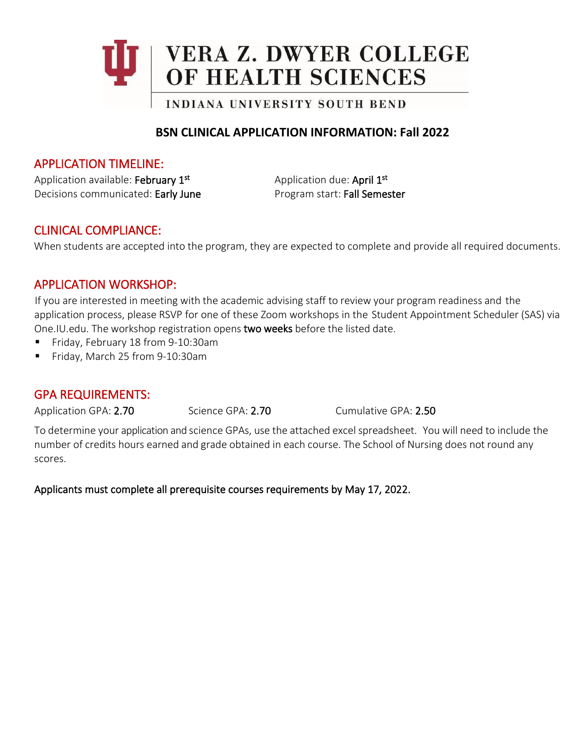

## **BSN CLINICAL APPLICATION INFORMATION: Fall 2022**

## APPLICATION TIMELINE:

Application available: February 1<sup>st</sup> Application due: April 1<sup>st</sup> Decisions communicated: Early June Program start: Fall Semester

## CLINICAL COMPLIANCE:

When students are accepted into the program, they are expected to complete and provide all required documents.

## APPLICATION WORKSHOP:

If you are interested in meeting with the academic advising staff to review your program readiness and the application process, please RSVP for one of these Zoom workshops in the Student Appointment Scheduler (SAS) via One.IU.edu. The workshop registration opens two weeks before the listed date.

- Friday, February 18 from 9-10:30am
- Friday, March 25 from 9-10:30am

## GPA REQUIREMENTS:

Application GPA: 2.70 Science GPA: 2.70 Cumulative GPA: 2.50

To determine your application and science GPAs, use the attached excel spreadsheet. You will need to include the number of credits hours earned and grade obtained in each course. The School of Nursing does not round any scores.

Applicants must complete all prerequisite courses requirements by May 17, 2022.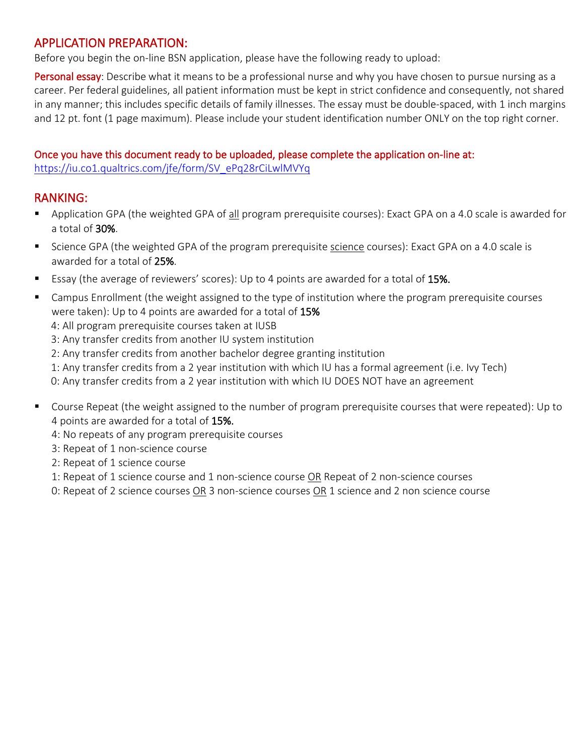# APPLICATION PREPARATION:

Before you begin the on-line BSN application, please have the following ready to upload:

Personal essay: Describe what it means to be a professional nurse and why you have chosen to pursue nursing as a career. Per federal guidelines, all patient information must be kept in strict confidence and consequently, not shared in any manner; this includes specific details of family illnesses. The essay must be double-spaced, with 1 inch margins and 12 pt. font (1 page maximum). Please include your student identification number ONLY on the top right corner.

#### Once you have this document ready to be uploaded, please complete the application on-line at: [https://iu.co1.qualtrics.com/jfe/form/SV\\_ePq28rCiLwlMVYq](https://iu.co1.qualtrics.com/jfe/form/SV_ePq28rCiLwlMVYq)

# RANKING:

- Application GPA (the weighted GPA of all program prerequisite courses): Exact GPA on a 4.0 scale is awarded for a total of 30%.
- Science GPA (the weighted GPA of the program prerequisite science courses): Exact GPA on a 4.0 scale is awarded for a total of 25%.
- Essay (the average of reviewers' scores): Up to 4 points are awarded for a total of 15%.
- **EX** Campus Enrollment (the weight assigned to the type of institution where the program prerequisite courses were taken): Up to 4 points are awarded for a total of 15%
	- 4: All program prerequisite courses taken at IUSB
	- 3: Any transfer credits from another IU system institution
	- 2: Any transfer credits from another bachelor degree granting institution
	- 1: Any transfer credits from a 2 year institution with which IU has a formal agreement (i.e. Ivy Tech)
	- 0: Any transfer credits from a 2 year institution with which IU DOES NOT have an agreement
- Course Repeat (the weight assigned to the number of program prerequisite courses that were repeated): Up to 4 points are awarded for a total of 15%.
	- 4: No repeats of any program prerequisite courses
	- 3: Repeat of 1 non-science course
	- 2: Repeat of 1 science course
	- 1: Repeat of 1 science course and 1 non-science course OR Repeat of 2 non-science courses
	- 0: Repeat of 2 science courses OR 3 non-science courses OR 1 science and 2 non science course